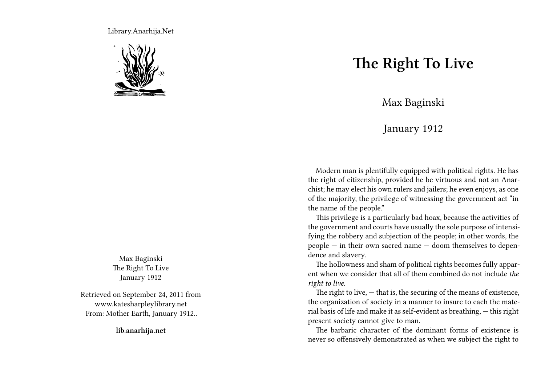Library.Anarhija.Net



Max Baginski The Right To Live January 1912

Retrieved on September 24, 2011 from www.katesharpleylibrary.net From: Mother Earth, January 1912..

**lib.anarhija.net**

## **The Right To Live**

Max Baginski

## January 1912

Modern man is plentifully equipped with political rights. He has the right of citizenship, provided he be virtuous and not an Anarchist; he may elect his own rulers and jailers; he even enjoys, as one of the majority, the privilege of witnessing the government act "in the name of the people."

This privilege is a particularly bad hoax, because the activities of the government and courts have usually the sole purpose of intensifying the robbery and subjection of the people; in other words, the people — in their own sacred name — doom themselves to dependence and slavery.

The hollowness and sham of political rights becomes fully apparent when we consider that all of them combined do not include *the right to live.*

The right to live,  $-$  that is, the securing of the means of existence, the organization of society in a manner to insure to each the material basis of life and make it as self-evident as breathing, — this right present society cannot give to man.

The barbaric character of the dominant forms of existence is never so offensively demonstrated as when we subject the right to